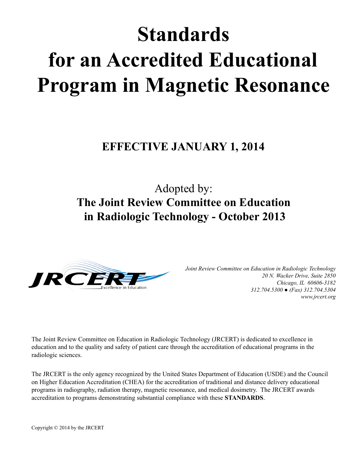# **Standards for an Accredited Educational Program in Magnetic Resonance**

## **EFFECTIVE JANUARY 1, 2014**

# Adopted by: **The Joint Review Committee on Education in Radiologic Technology - October 2013**



*Joint Review Committee on Education in Radiologic Technology 20 N. Wacker Drive, Suite 2850 Chicago, IL 60606-3182 312.704.5300 ● (Fax) 312.704.5304 www.jrcert.org*

The Joint Review Committee on Education in Radiologic Technology (JRCERT) is dedicated to excellence in education and to the quality and safety of patient care through the accreditation of educational programs in the radiologic sciences.

The JRCERT is the only agency recognized by the United States Department of Education (USDE) and the Council on Higher Education Accreditation (CHEA) for the accreditation of traditional and distance delivery educational programs in radiography, radiation therapy, magnetic resonance, and medical dosimetry. The JRCERT awards accreditation to programs demonstrating substantial compliance with these **STANDARDS**.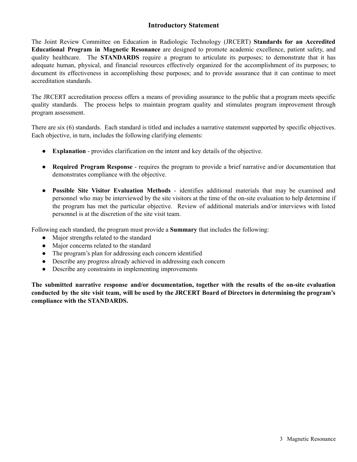#### **Introductory Statement**

The Joint Review Committee on Education in Radiologic Technology (JRCERT) **Standards for an Accredited Educational Program in Magnetic Resonance** are designed to promote academic excellence, patient safety, and quality healthcare. The **STANDARDS** require a program to articulate its purposes; to demonstrate that it has adequate human, physical, and financial resources effectively organized for the accomplishment of its purposes; to document its effectiveness in accomplishing these purposes; and to provide assurance that it can continue to meet accreditation standards.

The JRCERT accreditation process offers a means of providing assurance to the public that a program meets specific quality standards. The process helps to maintain program quality and stimulates program improvement through program assessment.

There are six (6) standards. Each standard is titled and includes a narrative statement supported by specific objectives. Each objective, in turn, includes the following clarifying elements:

- **Explanation** provides clarification on the intent and key details of the objective.
- **Required Program Response** requires the program to provide a brief narrative and/or documentation that demonstrates compliance with the objective.
- **Possible Site Visitor Evaluation Methods** identifies additional materials that may be examined and personnel who may be interviewed by the site visitors at the time of the on-site evaluation to help determine if the program has met the particular objective. Review of additional materials and/or interviews with listed personnel is at the discretion of the site visit team.

Following each standard, the program must provide a **Summary** that includes the following:

- Major strengths related to the standard
- Major concerns related to the standard
- The program's plan for addressing each concern identified
- Describe any progress already achieved in addressing each concern
- Describe any constraints in implementing improvements

**The submitted narrative response and/or documentation, together with the results of the on-site evaluation** conducted by the site visit team, will be used by the JRCERT Board of Directors in determining the program's **compliance with the STANDARDS.**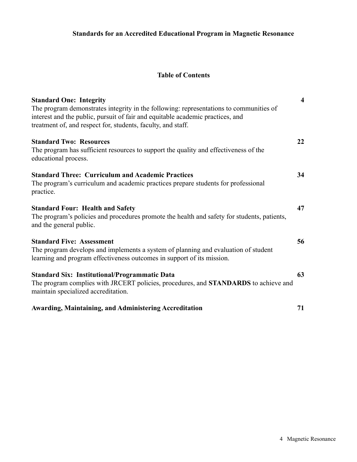#### **Table of Contents**

| <b>Standard One: Integrity</b><br>The program demonstrates integrity in the following: representations to communities of<br>interest and the public, pursuit of fair and equitable academic practices, and<br>treatment of, and respect for, students, faculty, and staff. | $\overline{\mathbf{4}}$ |
|----------------------------------------------------------------------------------------------------------------------------------------------------------------------------------------------------------------------------------------------------------------------------|-------------------------|
| <b>Standard Two: Resources</b><br>The program has sufficient resources to support the quality and effectiveness of the<br>educational process.                                                                                                                             | 22                      |
| <b>Standard Three: Curriculum and Academic Practices</b><br>The program's curriculum and academic practices prepare students for professional<br>practice.                                                                                                                 | 34                      |
| <b>Standard Four: Health and Safety</b><br>The program's policies and procedures promote the health and safety for students, patients,<br>and the general public.                                                                                                          | 47                      |
| <b>Standard Five: Assessment</b><br>The program develops and implements a system of planning and evaluation of student<br>learning and program effectiveness outcomes in support of its mission.                                                                           | 56                      |
| <b>Standard Six: Institutional/Programmatic Data</b><br>The program complies with JRCERT policies, procedures, and STANDARDS to achieve and<br>maintain specialized accreditation.                                                                                         | 63                      |
| <b>Awarding, Maintaining, and Administering Accreditation</b>                                                                                                                                                                                                              | 71                      |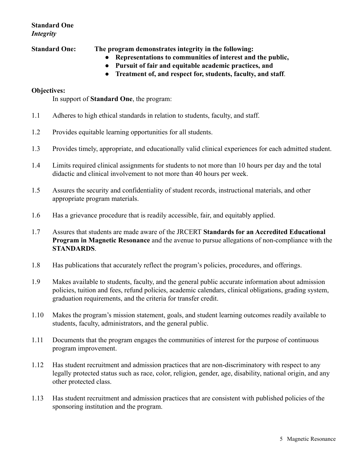#### **Standard One** *Integrity*

**Standard One: The program demonstrates integrity in the following:**

- **Representations to communities of interest and the public,**
- **Pursuit of fair and equitable academic practices, and**
- **Treatment of, and respect for, students, faculty, and staff**.

#### **Objectives:**

In support of **Standard One**, the program:

- 1.1 Adheres to high ethical standards in relation to students, faculty, and staff.
- 1.2 Provides equitable learning opportunities for all students.
- 1.3 Provides timely, appropriate, and educationally valid clinical experiences for each admitted student.
- 1.4 Limits required clinical assignments for students to not more than 10 hours per day and the total didactic and clinical involvement to not more than 40 hours per week.
- 1.5 Assures the security and confidentiality of student records, instructional materials, and other appropriate program materials.
- 1.6 Has a grievance procedure that is readily accessible, fair, and equitably applied.
- 1.7 Assures that students are made aware of the JRCERT **Standards for an Accredited Educational Program in Magnetic Resonance** and the avenue to pursue allegations of non-compliance with the **STANDARDS**.
- 1.8 Has publications that accurately reflect the program's policies, procedures, and offerings.
- 1.9 Makes available to students, faculty, and the general public accurate information about admission policies, tuition and fees, refund policies, academic calendars, clinical obligations, grading system, graduation requirements, and the criteria for transfer credit.
- 1.10 Makes the program's mission statement, goals, and student learning outcomes readily available to students, faculty, administrators, and the general public.
- 1.11 Documents that the program engages the communities of interest for the purpose of continuous program improvement.
- 1.12 Has student recruitment and admission practices that are non-discriminatory with respect to any legally protected status such as race, color, religion, gender, age, disability, national origin, and any other protected class.
- 1.13 Has student recruitment and admission practices that are consistent with published policies of the sponsoring institution and the program.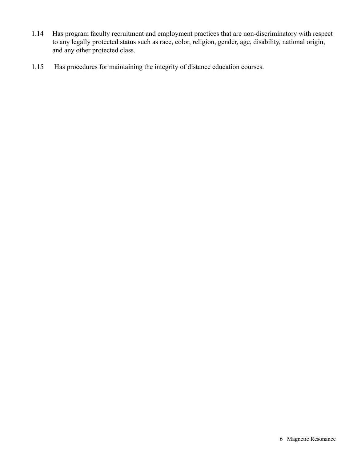- 1.14 Has program faculty recruitment and employment practices that are non-discriminatory with respect to any legally protected status such as race, color, religion, gender, age, disability, national origin, and any other protected class.
- 1.15 Has procedures for maintaining the integrity of distance education courses.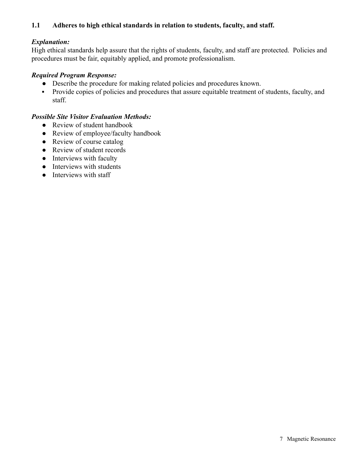#### **1.1 Adheres to high ethical standards in relation to students, faculty, and staff.**

#### *Explanation:*

High ethical standards help assure that the rights of students, faculty, and staff are protected. Policies and procedures must be fair, equitably applied, and promote professionalism.

#### *Required Program Response:*

- Describe the procedure for making related policies and procedures known.
- Provide copies of policies and procedures that assure equitable treatment of students, faculty, and staff.

- Review of student handbook
- Review of employee/faculty handbook
- Review of course catalog
- Review of student records
- Interviews with faculty
- Interviews with students
- Interviews with staff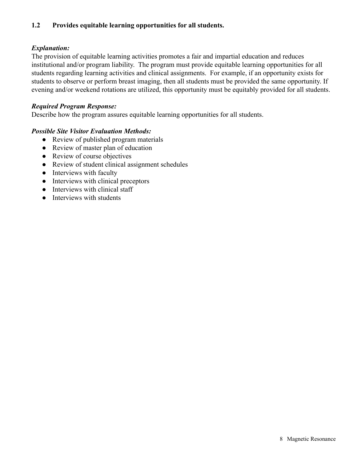#### **1.2 Provides equitable learning opportunities for all students.**

#### *Explanation:*

The provision of equitable learning activities promotes a fair and impartial education and reduces institutional and/or program liability. The program must provide equitable learning opportunities for all students regarding learning activities and clinical assignments. For example, if an opportunity exists for students to observe or perform breast imaging, then all students must be provided the same opportunity. If evening and/or weekend rotations are utilized, this opportunity must be equitably provided for all students.

#### *Required Program Response:*

Describe how the program assures equitable learning opportunities for all students.

- Review of published program materials
- Review of master plan of education
- Review of course objectives
- Review of student clinical assignment schedules
- Interviews with faculty
- Interviews with clinical preceptors
- Interviews with clinical staff
- **•** Interviews with students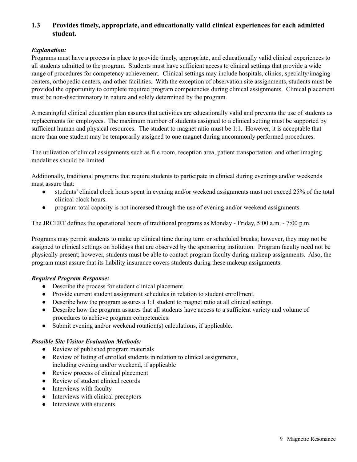#### **1.3 Provides timely, appropriate, and educationally valid clinical experiences for each admitted student.**

#### *Explanation:*

Programs must have a process in place to provide timely, appropriate, and educationally valid clinical experiences to all students admitted to the program. Students must have sufficient access to clinical settings that provide a wide range of procedures for competency achievement. Clinical settings may include hospitals, clinics, specialty/imaging centers, orthopedic centers, and other facilities. With the exception of observation site assignments, students must be provided the opportunity to complete required program competencies during clinical assignments. Clinical placement must be non-discriminatory in nature and solely determined by the program.

A meaningful clinical education plan assures that activities are educationally valid and prevents the use of students as replacements for employees. The maximum number of students assigned to a clinical setting must be supported by sufficient human and physical resources. The student to magnet ratio must be 1:1. However, it is acceptable that more than one student may be temporarily assigned to one magnet during uncommonly performed procedures.

The utilization of clinical assignments such as file room, reception area, patient transportation, and other imaging modalities should be limited.

Additionally, traditional programs that require students to participate in clinical during evenings and/or weekends must assure that:

- students' clinical clock hours spent in evening and/or weekend assignments must not exceed 25% of the total clinical clock hours.
- program total capacity is not increased through the use of evening and/or weekend assignments.

The JRCERT defines the operational hours of traditional programs as Monday - Friday, 5:00 a.m. - 7:00 p.m.

Programs may permit students to make up clinical time during term or scheduled breaks; however, they may not be assigned to clinical settings on holidays that are observed by the sponsoring institution. Program faculty need not be physically present; however, students must be able to contact program faculty during makeup assignments. Also, the program must assure that its liability insurance covers students during these makeup assignments.

#### *Required Program Response:*

- Describe the process for student clinical placement.
- Provide current student assignment schedules in relation to student enrollment.
- Describe how the program assures a 1:1 student to magnet ratio at all clinical settings.
- Describe how the program assures that all students have access to a sufficient variety and volume of procedures to achieve program competencies.
- Submit evening and/or weekend rotation(s) calculations, if applicable.

- Review of published program materials
- Review of listing of enrolled students in relation to clinical assignments, including evening and/or weekend, if applicable
- Review process of clinical placement
- Review of student clinical records
- Interviews with faculty
- Interviews with clinical preceptors
- Interviews with students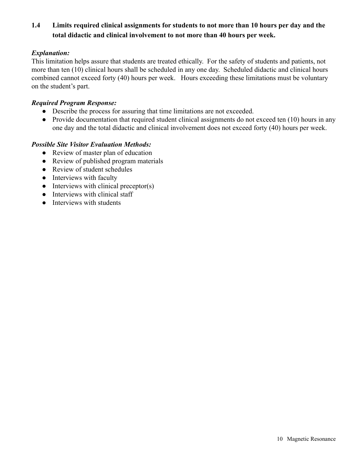### **1.4 Limits required clinical assignments for students to not more than 10 hours per day and the total didactic and clinical involvement to not more than 40 hours per week.**

#### *Explanation:*

This limitation helps assure that students are treated ethically. For the safety of students and patients, not more than ten (10) clinical hours shall be scheduled in any one day. Scheduled didactic and clinical hours combined cannot exceed forty (40) hours per week. Hours exceeding these limitations must be voluntary on the student's part.

#### *Required Program Response:*

- Describe the process for assuring that time limitations are not exceeded.
- Provide documentation that required student clinical assignments do not exceed ten (10) hours in any one day and the total didactic and clinical involvement does not exceed forty (40) hours per week.

- Review of master plan of education
- Review of published program materials
- Review of student schedules
- Interviews with faculty
- $\bullet$  Interviews with clinical preceptor(s)
- Interviews with clinical staff
- Interviews with students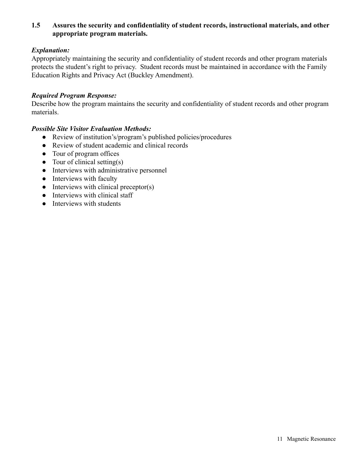#### **1.5 Assures the security and confidentiality of student records, instructional materials, and other appropriate program materials.**

#### *Explanation:*

Appropriately maintaining the security and confidentiality of student records and other program materials protects the student's right to privacy. Student records must be maintained in accordance with the Family Education Rights and Privacy Act (Buckley Amendment).

#### *Required Program Response:*

Describe how the program maintains the security and confidentiality of student records and other program materials.

- Review of institution's/program's published policies/procedures
- Review of student academic and clinical records
- Tour of program offices
- $\bullet$  Tour of clinical setting(s)
- Interviews with administrative personnel
- Interviews with faculty
- $\bullet$  Interviews with clinical preceptor(s)
- Interviews with clinical staff
- **•** Interviews with students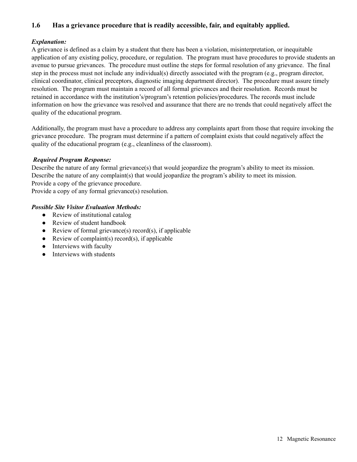#### **1.6 Has a grievance procedure that is readily accessible, fair, and equitably applied.**

#### *Explanation:*

A grievance is defined as a claim by a student that there has been a violation, misinterpretation, or inequitable application of any existing policy, procedure, or regulation. The program must have procedures to provide students an avenue to pursue grievances. The procedure must outline the steps for formal resolution of any grievance. The final step in the process must not include any individual(s) directly associated with the program (e.g., program director, clinical coordinator, clinical preceptors, diagnostic imaging department director). The procedure must assure timely resolution. The program must maintain a record of all formal grievances and their resolution. Records must be retained in accordance with the institution's/program's retention policies/procedures. The records must include information on how the grievance was resolved and assurance that there are no trends that could negatively affect the quality of the educational program.

Additionally, the program must have a procedure to address any complaints apart from those that require invoking the grievance procedure. The program must determine if a pattern of complaint exists that could negatively affect the quality of the educational program (e.g., cleanliness of the classroom).

#### *Required Program Response:*

Describe the nature of any formal grievance(s) that would jeopardize the program's ability to meet its mission. Describe the nature of any complaint(s) that would jeopardize the program's ability to meet its mission. Provide a copy of the grievance procedure.

Provide a copy of any formal grievance(s) resolution.

- Review of institutional catalog
- Review of student handbook
- Review of formal grievance(s) record(s), if applicable
- Review of complaint(s) record(s), if applicable
- Interviews with faculty
- Interviews with students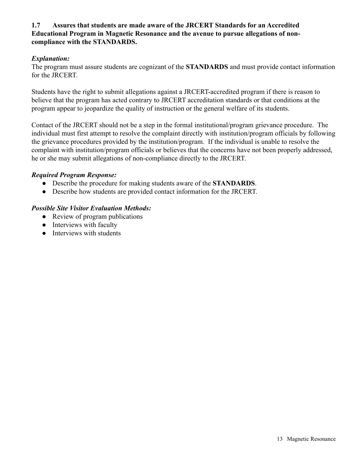#### **1.7 Assures that students are made aware of the JRCERT Standards for an Accredited Educational Program in Magnetic Resonance and the avenue to pursue allegations of noncompliance with the STANDARDS.**

#### *Explanation:*

The program must assure students are cognizant of the **STANDARDS** and must provide contact information for the JRCERT.

Students have the right to submit allegations against a JRCERT-accredited program if there is reason to believe that the program has acted contrary to JRCERT accreditation standards or that conditions at the program appear to jeopardize the quality of instruction or the general welfare of its students.

Contact of the JRCERT should not be a step in the formal institutional/program grievance procedure. The individual must first attempt to resolve the complaint directly with institution/program officials by following the grievance procedures provided by the institution/program. If the individual is unable to resolve the complaint with institution/program officials or believes that the concerns have not been properly addressed, he or she may submit allegations of non-compliance directly to the JRCERT.

#### *Required Program Response:*

- Describe the procedure for making students aware of the **STANDARDS**.
- Describe how students are provided contact information for the JRCERT.

- Review of program publications
- Interviews with faculty
- Interviews with students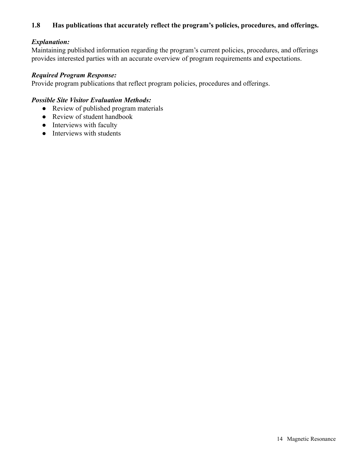#### **1.8 Has publications that accurately reflect the program's policies, procedures, and offerings.**

#### *Explanation:*

Maintaining published information regarding the program's current policies, procedures, and offerings provides interested parties with an accurate overview of program requirements and expectations.

#### *Required Program Response:*

Provide program publications that reflect program policies, procedures and offerings.

- Review of published program materials
- Review of student handbook
- Interviews with faculty
- Interviews with students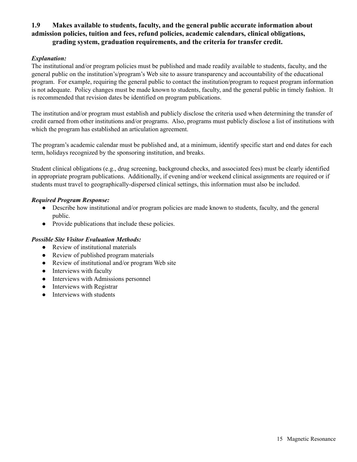#### **1.9 Makes available to students, faculty, and the general public accurate information about admission policies, tuition and fees, refund policies, academic calendars, clinical obligations, grading system, graduation requirements, and the criteria for transfer credit.**

#### *Explanation:*

The institutional and/or program policies must be published and made readily available to students, faculty, and the general public on the institution's/program's Web site to assure transparency and accountability of the educational program. For example, requiring the general public to contact the institution/program to request program information is not adequate. Policy changes must be made known to students, faculty, and the general public in timely fashion. It is recommended that revision dates be identified on program publications.

The institution and/or program must establish and publicly disclose the criteria used when determining the transfer of credit earned from other institutions and/or programs. Also, programs must publicly disclose a list of institutions with which the program has established an articulation agreement.

The program's academic calendar must be published and, at a minimum, identify specific start and end dates for each term, holidays recognized by the sponsoring institution, and breaks.

Student clinical obligations (e.g., drug screening, background checks, and associated fees) must be clearly identified in appropriate program publications. Additionally, if evening and/or weekend clinical assignments are required or if students must travel to geographically-dispersed clinical settings, this information must also be included.

#### *Required Program Response:*

- Describe how institutional and/or program policies are made known to students, faculty, and the general public.
- Provide publications that include these policies.

- Review of institutional materials
- Review of published program materials
- Review of institutional and/or program Web site
- Interviews with faculty
- Interviews with Admissions personnel
- Interviews with Registrar
- Interviews with students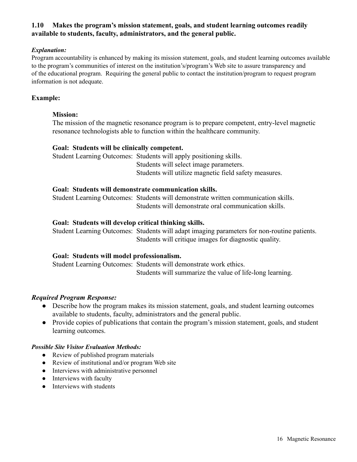#### **1.10 Makes the program's mission statement, goals, and student learning outcomes readily available to students, faculty, administrators, and the general public.**

#### *Explanation:*

Program accountability is enhanced by making its mission statement, goals, and student learning outcomes available to the program's communities of interest on the institution's/program's Web site to assure transparency and of the educational program. Requiring the general public to contact the institution/program to request program information is not adequate.

#### **Example:**

#### **Mission:**

The mission of the magnetic resonance program is to prepare competent, entry-level magnetic resonance technologists able to function within the healthcare community.

#### **Goal: Students will be clinically competent.**

Student Learning Outcomes: Students will apply positioning skills. Students will select image parameters. Students will utilize magnetic field safety measures.

#### **Goal: Students will demonstrate communication skills.**

Student Learning Outcomes: Students will demonstrate written communication skills. Students will demonstrate oral communication skills.

#### **Goal: Students will develop critical thinking skills.**

Student Learning Outcomes: Students will adapt imaging parameters for non-routine patients. Students will critique images for diagnostic quality.

#### **Goal: Students will model professionalism.**

Student Learning Outcomes: Students will demonstrate work ethics. Students will summarize the value of life-long learning.

#### *Required Program Response:*

- Describe how the program makes its mission statement, goals, and student learning outcomes available to students, faculty, administrators and the general public.
- Provide copies of publications that contain the program's mission statement, goals, and student learning outcomes.

- Review of published program materials
- Review of institutional and/or program Web site
- Interviews with administrative personnel
- Interviews with faculty
- Interviews with students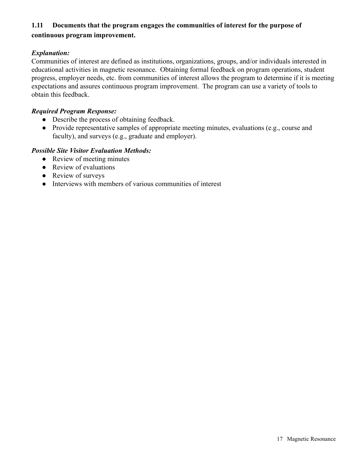### **1.11 Documents that the program engages the communities of interest for the purpose of continuous program improvement.**

#### *Explanation:*

Communities of interest are defined as institutions, organizations, groups, and/or individuals interested in educational activities in magnetic resonance. Obtaining formal feedback on program operations, student progress, employer needs, etc. from communities of interest allows the program to determine if it is meeting expectations and assures continuous program improvement. The program can use a variety of tools to obtain this feedback.

#### *Required Program Response:*

- Describe the process of obtaining feedback.
- Provide representative samples of appropriate meeting minutes, evaluations (e.g., course and faculty), and surveys (e.g., graduate and employer).

- Review of meeting minutes
- Review of evaluations
- Review of surveys
- Interviews with members of various communities of interest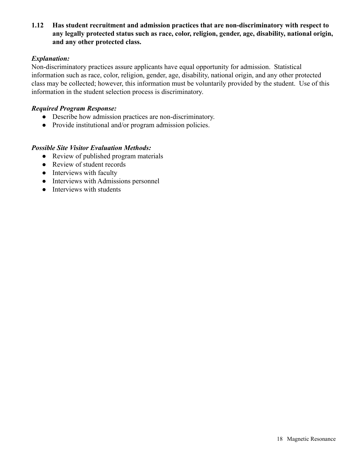**1.12 Has student recruitment and admission practices that are non-discriminatory with respect to any legally protected status such as race, color, religion, gender, age, disability, national origin, and any other protected class.**

#### *Explanation:*

Non-discriminatory practices assure applicants have equal opportunity for admission. Statistical information such as race, color, religion, gender, age, disability, national origin, and any other protected class may be collected; however, this information must be voluntarily provided by the student. Use of this information in the student selection process is discriminatory.

#### *Required Program Response:*

- Describe how admission practices are non-discriminatory.
- Provide institutional and/or program admission policies.

- Review of published program materials
- Review of student records
- Interviews with faculty
- Interviews with Admissions personnel
- Interviews with students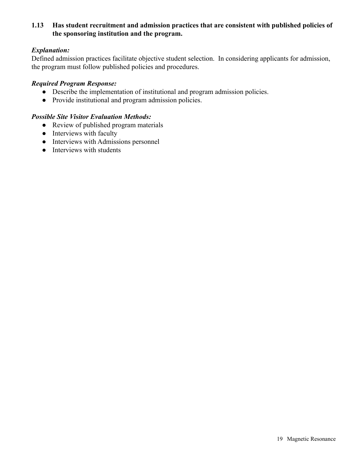#### **1.13 Has student recruitment and admission practices that are consistent with published policies of the sponsoring institution and the program.**

#### *Explanation:*

Defined admission practices facilitate objective student selection. In considering applicants for admission, the program must follow published policies and procedures.

#### *Required Program Response:*

- Describe the implementation of institutional and program admission policies.
- Provide institutional and program admission policies.

- Review of published program materials
- Interviews with faculty
- Interviews with Admissions personnel
- Interviews with students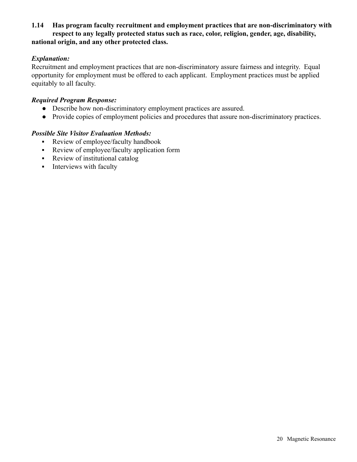#### **1.14 Has program faculty recruitment and employment practices that are non-discriminatory with respect to any legally protected status such as race, color, religion, gender, age, disability, national origin, and any other protected class.**

#### *Explanation:*

Recruitment and employment practices that are non-discriminatory assure fairness and integrity. Equal opportunity for employment must be offered to each applicant. Employment practices must be applied equitably to all faculty.

#### *Required Program Response:*

- Describe how non-discriminatory employment practices are assured.
- Provide copies of employment policies and procedures that assure non-discriminatory practices.

- **•** Review of employee/faculty handbook
- Review of employee/faculty application form
- Review of institutional catalog
- **•** Interviews with faculty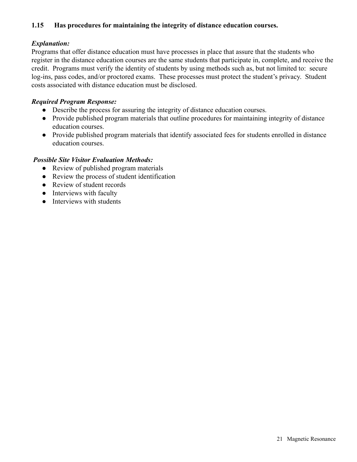#### **1.15 Has procedures for maintaining the integrity of distance education courses.**

#### *Explanation:*

Programs that offer distance education must have processes in place that assure that the students who register in the distance education courses are the same students that participate in, complete, and receive the credit. Programs must verify the identity of students by using methods such as, but not limited to: secure log-ins, pass codes, and/or proctored exams. These processes must protect the student's privacy. Student costs associated with distance education must be disclosed.

#### *Required Program Response:*

- Describe the process for assuring the integrity of distance education courses.
- Provide published program materials that outline procedures for maintaining integrity of distance education courses.
- Provide published program materials that identify associated fees for students enrolled in distance education courses.

- Review of published program materials
- Review the process of student identification
- Review of student records
- Interviews with faculty
- Interviews with students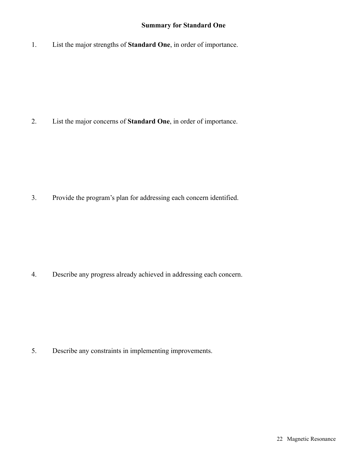#### **Summary for Standard One**

1. List the major strengths of **Standard One**, in order of importance.

2. List the major concerns of **Standard One**, in order of importance.

3. Provide the program's plan for addressing each concern identified.

4. Describe any progress already achieved in addressing each concern.

5. Describe any constraints in implementing improvements.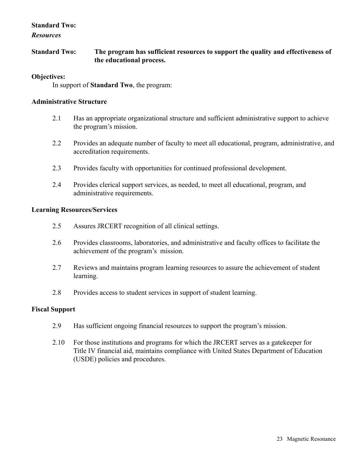#### **Standard Two:**

*Resources*

**Standard Two: The program has sufficient resources to support the quality and effectiveness of the educational process.**

#### **Objectives:**

In support of **Standard Two**, the program:

#### **Administrative Structure**

- 2.1 Has an appropriate organizational structure and sufficient administrative support to achieve the program's mission.
- 2.2 Provides an adequate number of faculty to meet all educational, program, administrative, and accreditation requirements.
- 2.3 Provides faculty with opportunities for continued professional development.
- 2.4 Provides clerical support services, as needed, to meet all educational, program, and administrative requirements.

#### **Learning Resources/Services**

- 2.5 Assures JRCERT recognition of all clinical settings.
- 2.6 Provides classrooms, laboratories, and administrative and faculty offices to facilitate the achievement of the program's mission.
- 2.7 Reviews and maintains program learning resources to assure the achievement of student learning.
- 2.8 Provides access to student services in support of student learning.

#### **Fiscal Support**

- 2.9 Has sufficient ongoing financial resources to support the program's mission.
- 2.10 For those institutions and programs for which the JRCERT serves as a gatekeeper for Title IV financial aid, maintains compliance with United States Department of Education (USDE) policies and procedures.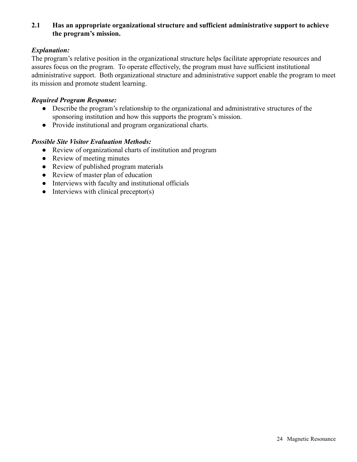#### **2.1 Has an appropriate organizational structure and sufficient administrative support to achieve the program's mission.**

#### *Explanation:*

The program's relative position in the organizational structure helps facilitate appropriate resources and assures focus on the program. To operate effectively, the program must have sufficient institutional administrative support. Both organizational structure and administrative support enable the program to meet its mission and promote student learning.

#### *Required Program Response:*

- Describe the program's relationship to the organizational and administrative structures of the sponsoring institution and how this supports the program's mission.
- Provide institutional and program organizational charts.

- Review of organizational charts of institution and program
- Review of meeting minutes
- Review of published program materials
- Review of master plan of education
- Interviews with faculty and institutional officials
- $\bullet$  Interviews with clinical preceptor(s)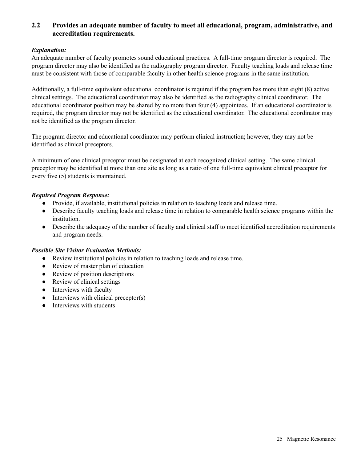#### **2.2 Provides an adequate number of faculty to meet all educational, program, administrative, and accreditation requirements.**

#### *Explanation:*

An adequate number of faculty promotes sound educational practices. A full-time program director is required. The program director may also be identified as the radiography program director. Faculty teaching loads and release time must be consistent with those of comparable faculty in other health science programs in the same institution.

Additionally, a full-time equivalent educational coordinator is required if the program has more than eight (8) active clinical settings. The educational coordinator may also be identified as the radiography clinical coordinator. The educational coordinator position may be shared by no more than four (4) appointees. If an educational coordinator is required, the program director may not be identified as the educational coordinator. The educational coordinator may not be identified as the program director.

The program director and educational coordinator may perform clinical instruction; however, they may not be identified as clinical preceptors.

A minimum of one clinical preceptor must be designated at each recognized clinical setting. The same clinical preceptor may be identified at more than one site as long as a ratio of one full-time equivalent clinical preceptor for every five (5) students is maintained.

#### *Required Program Response:*

- Provide, if available, institutional policies in relation to teaching loads and release time.
- Describe faculty teaching loads and release time in relation to comparable health science programs within the institution.
- Describe the adequacy of the number of faculty and clinical staff to meet identified accreditation requirements and program needs.

- Review institutional policies in relation to teaching loads and release time.
- Review of master plan of education
- Review of position descriptions
- Review of clinical settings
- Interviews with faculty
- $\bullet$  Interviews with clinical preceptor(s)
- Interviews with students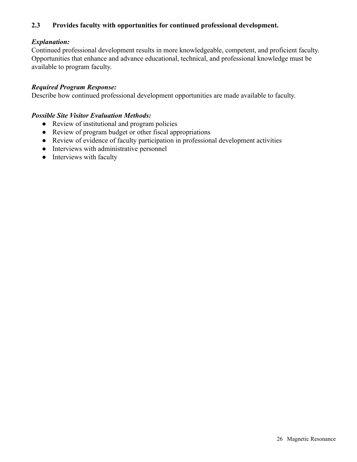#### **2.3 Provides faculty with opportunities for continued professional development.**

#### *Explanation:*

Continued professional development results in more knowledgeable, competent, and proficient faculty. Opportunities that enhance and advance educational, technical, and professional knowledge must be available to program faculty.

#### *Required Program Response:*

Describe how continued professional development opportunities are made available to faculty.

- Review of institutional and program policies
- Review of program budget or other fiscal appropriations
- Review of evidence of faculty participation in professional development activities
- Interviews with administrative personnel
- Interviews with faculty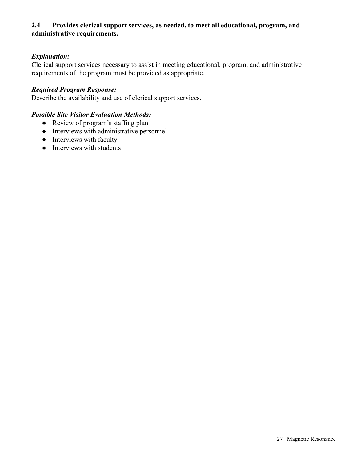#### **2.4 Provides clerical support services, as needed, to meet all educational, program, and administrative requirements.**

#### *Explanation:*

Clerical support services necessary to assist in meeting educational, program, and administrative requirements of the program must be provided as appropriate.

#### *Required Program Response:*

Describe the availability and use of clerical support services.

- Review of program's staffing plan
- Interviews with administrative personnel
- Interviews with faculty
- Interviews with students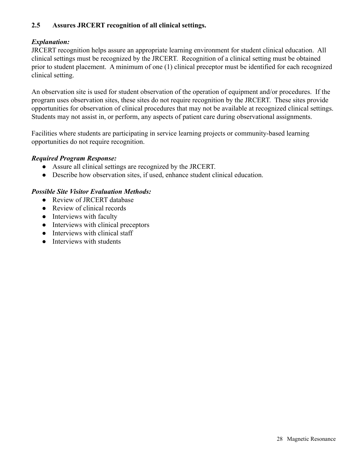#### **2.5 Assures JRCERT recognition of all clinical settings.**

#### *Explanation:*

JRCERT recognition helps assure an appropriate learning environment for student clinical education. All clinical settings must be recognized by the JRCERT. Recognition of a clinical setting must be obtained prior to student placement. A minimum of one (1) clinical preceptor must be identified for each recognized clinical setting.

An observation site is used for student observation of the operation of equipment and/or procedures. If the program uses observation sites, these sites do not require recognition by the JRCERT. These sites provide opportunities for observation of clinical procedures that may not be available at recognized clinical settings. Students may not assist in, or perform, any aspects of patient care during observational assignments.

Facilities where students are participating in service learning projects or community-based learning opportunities do not require recognition.

#### *Required Program Response:*

- Assure all clinical settings are recognized by the JRCERT.
- Describe how observation sites, if used, enhance student clinical education.

- Review of JRCERT database
- Review of clinical records
- Interviews with faculty
- Interviews with clinical preceptors
- Interviews with clinical staff
- Interviews with students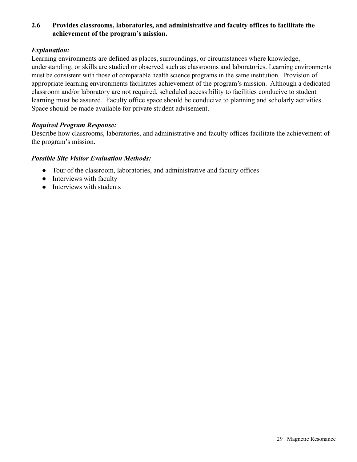#### **2.6 Provides classrooms, laboratories, and administrative and faculty offices to facilitate the achievement of the program's mission.**

#### *Explanation:*

Learning environments are defined as places, surroundings, or circumstances where knowledge, understanding, or skills are studied or observed such as classrooms and laboratories. Learning environments must be consistent with those of comparable health science programs in the same institution. Provision of appropriate learning environments facilitates achievement of the program's mission. Although a dedicated classroom and/or laboratory are not required, scheduled accessibility to facilities conducive to student learning must be assured. Faculty office space should be conducive to planning and scholarly activities. Space should be made available for private student advisement.

#### *Required Program Response:*

Describe how classrooms, laboratories, and administrative and faculty offices facilitate the achievement of the program's mission.

- Tour of the classroom, laboratories, and administrative and faculty offices
- Interviews with faculty
- Interviews with students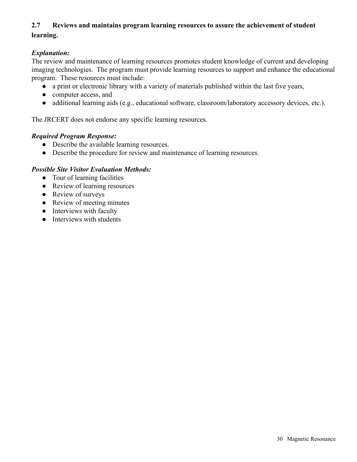#### **2.7 Reviews and maintains program learning resources to assure the achievement of student learning.**

#### *Explanation:*

The review and maintenance of learning resources promotes student knowledge of current and developing imaging technologies. The program must provide learning resources to support and enhance the educational program. These resources must include:

- a print or electronic library with a variety of materials published within the last five years,
- computer access, and
- additional learning aids (e.g., educational software, classroom/laboratory accessory devices, etc.).

The JRCERT does not endorse any specific learning resources.

#### *Required Program Response:*

- Describe the available learning resources.
- Describe the procedure for review and maintenance of learning resources.

- Tour of learning facilities
- Review of learning resources
- Review of surveys
- Review of meeting minutes
- Interviews with faculty
- **•** Interviews with students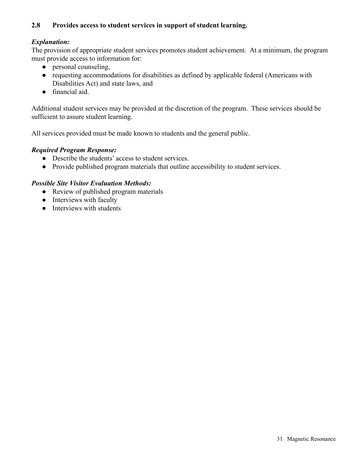#### **2.8 Provides access to student services in support of student learning.**

#### *Explanation:*

The provision of appropriate student services promotes student achievement. At a minimum, the program must provide access to information for:

- personal counseling,
- requesting accommodations for disabilities as defined by applicable federal (Americans with Disabilities Act) and state laws, and
- financial aid.

Additional student services may be provided at the discretion of the program. These services should be sufficient to assure student learning.

All services provided must be made known to students and the general public.

#### *Required Program Response:*

- Describe the students' access to student services.
- Provide published program materials that outline accessibility to student services.

- Review of published program materials
- Interviews with faculty
- Interviews with students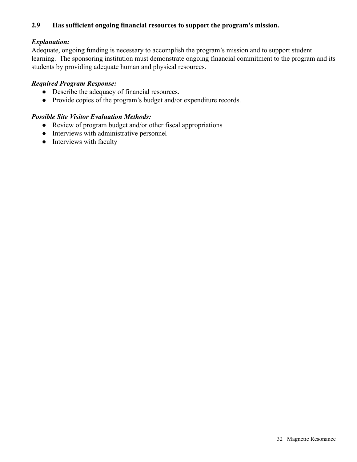#### **2.9 Has sufficient ongoing financial resources to support the program's mission.**

#### *Explanation:*

Adequate, ongoing funding is necessary to accomplish the program's mission and to support student learning. The sponsoring institution must demonstrate ongoing financial commitment to the program and its students by providing adequate human and physical resources.

#### *Required Program Response:*

- Describe the adequacy of financial resources.
- Provide copies of the program's budget and/or expenditure records.

- Review of program budget and/or other fiscal appropriations
- Interviews with administrative personnel
- Interviews with faculty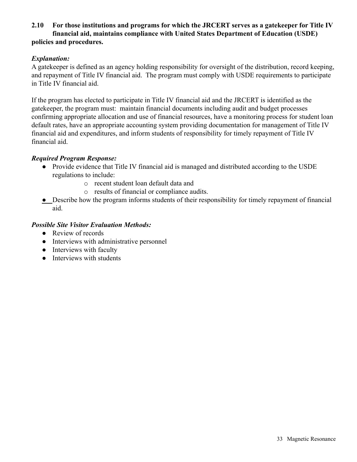#### **2.10 For those institutions and programs for which the JRCERT serves as a gatekeeper for Title IV financial aid, maintains compliance with United States Department of Education (USDE) policies and procedures.**

#### *Explanation:*

A gatekeeper is defined as an agency holding responsibility for oversight of the distribution, record keeping, and repayment of Title IV financial aid. The program must comply with USDE requirements to participate in Title IV financial aid.

If the program has elected to participate in Title IV financial aid and the JRCERT is identified as the gatekeeper, the program must: maintain financial documents including audit and budget processes confirming appropriate allocation and use of financial resources, have a monitoring process for student loan default rates, have an appropriate accounting system providing documentation for management of Title IV financial aid and expenditures, and inform students of responsibility for timely repayment of Title IV financial aid.

#### *Required Program Response:*

- Provide evidence that Title IV financial aid is managed and distributed according to the USDE regulations to include:
	- o recent student loan default data and
	- o results of financial or compliance audits.
- Describe how the program informs students of their responsibility for timely repayment of financial aid.

- Review of records
- Interviews with administrative personnel
- Interviews with faculty
- Interviews with students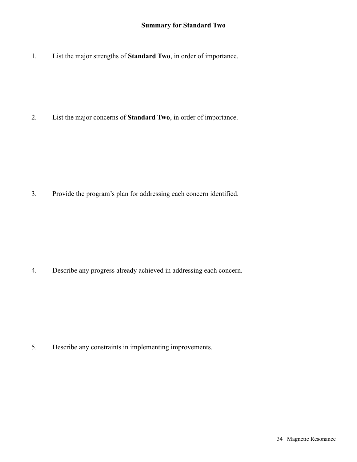1. List the major strengths of **Standard Two**, in order of importance.

2. List the major concerns of **Standard Two**, in order of importance.

3. Provide the program's plan for addressing each concern identified.

4. Describe any progress already achieved in addressing each concern.

5. Describe any constraints in implementing improvements.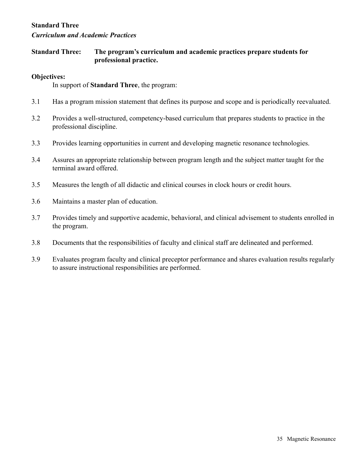#### **Standard Three**

#### *Curriculum and Academic Practices*

**Standard Three: The program's curriculum and academic practices prepare students for professional practice.**

#### **Objectives:**

In support of **Standard Three**, the program:

- 3.1 Has a program mission statement that defines its purpose and scope and is periodically reevaluated.
- 3.2 Provides a well-structured, competency-based curriculum that prepares students to practice in the professional discipline.
- 3.3 Provides learning opportunities in current and developing magnetic resonance technologies.
- 3.4 Assures an appropriate relationship between program length and the subject matter taught for the terminal award offered.
- 3.5 Measures the length of all didactic and clinical courses in clock hours or credit hours.
- 3.6 Maintains a master plan of education.
- 3.7 Provides timely and supportive academic, behavioral, and clinical advisement to students enrolled in the program.
- 3.8 Documents that the responsibilities of faculty and clinical staff are delineated and performed.
- 3.9 Evaluates program faculty and clinical preceptor performance and shares evaluation results regularly to assure instructional responsibilities are performed.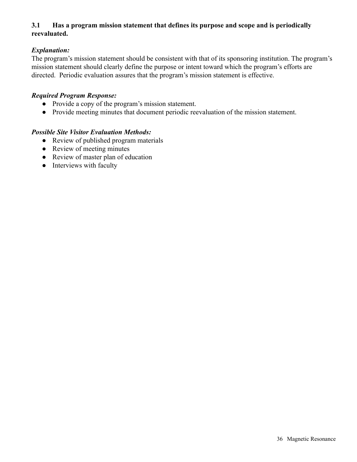#### **3.1 Has a program mission statement that defines its purpose and scope and is periodically reevaluated.**

#### *Explanation:*

The program's mission statement should be consistent with that of its sponsoring institution. The program's mission statement should clearly define the purpose or intent toward which the program's efforts are directed. Periodic evaluation assures that the program's mission statement is effective.

#### *Required Program Response:*

- Provide a copy of the program's mission statement.
- Provide meeting minutes that document periodic reevaluation of the mission statement.

- Review of published program materials
- Review of meeting minutes
- Review of master plan of education
- Interviews with faculty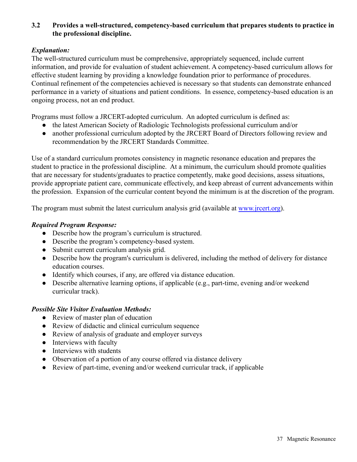# **3.2 Provides a well-structured, competency-based curriculum that prepares students to practice in the professional discipline.**

# *Explanation:*

The well-structured curriculum must be comprehensive, appropriately sequenced, include current information, and provide for evaluation of student achievement. A competency-based curriculum allows for effective student learning by providing a knowledge foundation prior to performance of procedures. Continual refinement of the competencies achieved is necessary so that students can demonstrate enhanced performance in a variety of situations and patient conditions. In essence, competency-based education is an ongoing process, not an end product.

Programs must follow a JRCERT-adopted curriculum. An adopted curriculum is defined as:

- the latest American Society of Radiologic Technologists professional curriculum and/or
- another professional curriculum adopted by the JRCERT Board of Directors following review and recommendation by the JRCERT Standards Committee.

Use of a standard curriculum promotes consistency in magnetic resonance education and prepares the student to practice in the professional discipline. At a minimum, the curriculum should promote qualities that are necessary for students/graduates to practice competently, make good decisions, assess situations, provide appropriate patient care, communicate effectively, and keep abreast of current advancements within the profession. Expansion of the curricular content beyond the minimum is at the discretion of the program.

The program must submit the latest curriculum analysis grid (available at [www.jrcert.org](http://www.jrcert.org)).

### *Required Program Response:*

- Describe how the program's curriculum is structured.
- Describe the program's competency-based system.
- Submit current curriculum analysis grid.
- Describe how the program's curriculum is delivered, including the method of delivery for distance education courses.
- Identify which courses, if any, are offered via distance education.
- Describe alternative learning options, if applicable (e.g., part-time, evening and/or weekend curricular track).

- Review of master plan of education
- Review of didactic and clinical curriculum sequence
- Review of analysis of graduate and employer surveys
- Interviews with faculty
- Interviews with students
- Observation of a portion of any course offered via distance delivery
- Review of part-time, evening and/or weekend curricular track, if applicable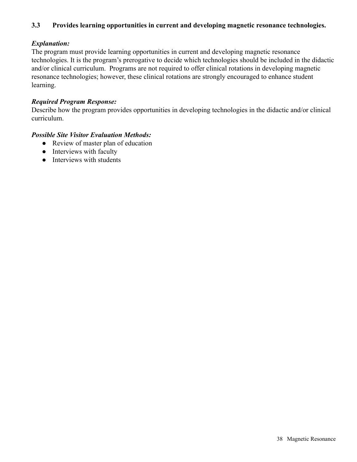# **3.3 Provides learning opportunities in current and developing magnetic resonance technologies.**

# *Explanation:*

The program must provide learning opportunities in current and developing magnetic resonance technologies. It is the program's prerogative to decide which technologies should be included in the didactic and/or clinical curriculum. Programs are not required to offer clinical rotations in developing magnetic resonance technologies; however, these clinical rotations are strongly encouraged to enhance student learning.

# *Required Program Response:*

Describe how the program provides opportunities in developing technologies in the didactic and/or clinical curriculum.

- Review of master plan of education
- Interviews with faculty
- Interviews with students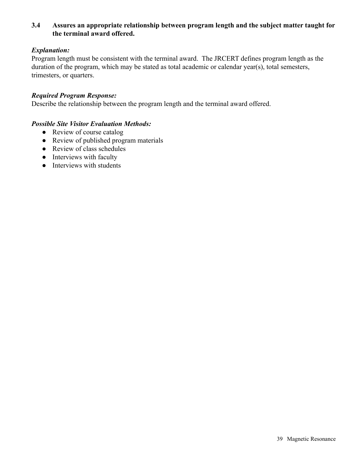# **3.4 Assures an appropriate relationship between program length and the subject matter taught for the terminal award offered.**

## *Explanation:*

Program length must be consistent with the terminal award. The JRCERT defines program length as the duration of the program, which may be stated as total academic or calendar year(s), total semesters, trimesters, or quarters.

#### *Required Program Response:*

Describe the relationship between the program length and the terminal award offered.

- Review of course catalog
- Review of published program materials
- Review of class schedules
- Interviews with faculty
- Interviews with students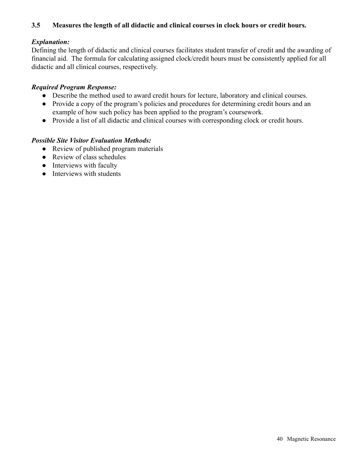# **3.5 Measures the length of all didactic and clinical courses in clock hours or credit hours.**

# *Explanation:*

Defining the length of didactic and clinical courses facilitates student transfer of credit and the awarding of financial aid. The formula for calculating assigned clock/credit hours must be consistently applied for all didactic and all clinical courses, respectively.

# *Required Program Response:*

- Describe the method used to award credit hours for lecture, laboratory and clinical courses.
- Provide a copy of the program's policies and procedures for determining credit hours and an example of how such policy has been applied to the program's coursework.
- Provide a list of all didactic and clinical courses with corresponding clock or credit hours.

- Review of published program materials
- Review of class schedules
- Interviews with faculty
- Interviews with students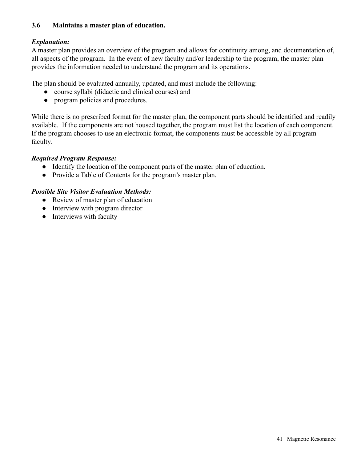# **3.6 Maintains a master plan of education.**

# *Explanation:*

A master plan provides an overview of the program and allows for continuity among, and documentation of, all aspects of the program. In the event of new faculty and/or leadership to the program, the master plan provides the information needed to understand the program and its operations.

The plan should be evaluated annually, updated, and must include the following:

- course syllabi (didactic and clinical courses) and
- program policies and procedures.

While there is no prescribed format for the master plan, the component parts should be identified and readily available. If the components are not housed together, the program must list the location of each component. If the program chooses to use an electronic format, the components must be accessible by all program faculty.

# *Required Program Response:*

- Identify the location of the component parts of the master plan of education.
- Provide a Table of Contents for the program's master plan.

- Review of master plan of education
- Interview with program director
- Interviews with faculty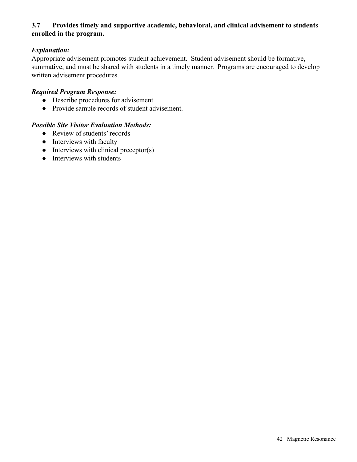# **3.7 Provides timely and supportive academic, behavioral, and clinical advisement to students enrolled in the program.**

# *Explanation:*

Appropriate advisement promotes student achievement. Student advisement should be formative, summative, and must be shared with students in a timely manner. Programs are encouraged to develop written advisement procedures.

### *Required Program Response:*

- Describe procedures for advisement.
- Provide sample records of student advisement.

- Review of students' records
- Interviews with faculty
- $\bullet$  Interviews with clinical preceptor(s)
- Interviews with students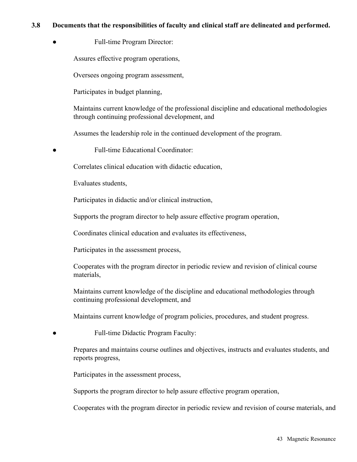### **3.8 Documents that the responsibilities of faculty and clinical staff are delineated and performed.**

• Full-time Program Director:

Assures effective program operations,

Oversees ongoing program assessment,

Participates in budget planning,

Maintains current knowledge of the professional discipline and educational methodologies through continuing professional development, and

Assumes the leadership role in the continued development of the program.

**Full-time Educational Coordinator:** 

Correlates clinical education with didactic education,

Evaluates students,

Participates in didactic and/or clinical instruction,

Supports the program director to help assure effective program operation,

Coordinates clinical education and evaluates its effectiveness,

Participates in the assessment process,

Cooperates with the program director in periodic review and revision of clinical course materials,

Maintains current knowledge of the discipline and educational methodologies through continuing professional development, and

Maintains current knowledge of program policies, procedures, and student progress.

● Full-time Didactic Program Faculty:

Prepares and maintains course outlines and objectives, instructs and evaluates students, and reports progress,

Participates in the assessment process,

Supports the program director to help assure effective program operation,

Cooperates with the program director in periodic review and revision of course materials, and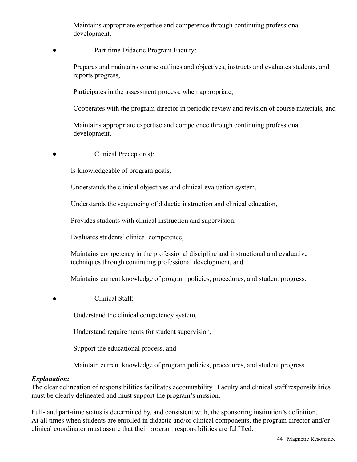Maintains appropriate expertise and competence through continuing professional development.

Part-time Didactic Program Faculty:

Prepares and maintains course outlines and objectives, instructs and evaluates students, and reports progress,

Participates in the assessment process, when appropriate,

Cooperates with the program director in periodic review and revision of course materials, and

Maintains appropriate expertise and competence through continuing professional development.

• Clinical Preceptor(s):

Is knowledgeable of program goals,

Understands the clinical objectives and clinical evaluation system,

Understands the sequencing of didactic instruction and clinical education,

Provides students with clinical instruction and supervision,

Evaluates students' clinical competence,

Maintains competency in the professional discipline and instructional and evaluative techniques through continuing professional development, and

Maintains current knowledge of program policies, procedures, and student progress.

Clinical Staff:

Understand the clinical competency system,

Understand requirements for student supervision,

Support the educational process, and

Maintain current knowledge of program policies, procedures, and student progress.

# *Explanation:*

The clear delineation of responsibilities facilitates accountability. Faculty and clinical staff responsibilities must be clearly delineated and must support the program's mission.

Full- and part-time status is determined by, and consistent with, the sponsoring institution's definition. At all times when students are enrolled in didactic and/or clinical components, the program director and/or clinical coordinator must assure that their program responsibilities are fulfilled.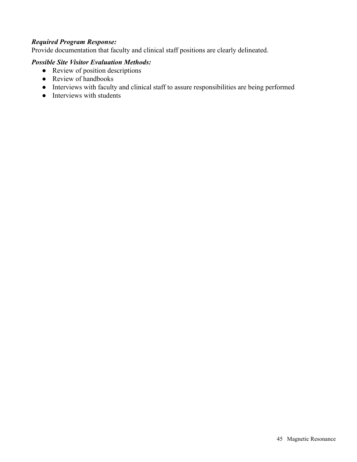## *Required Program Response:*

Provide documentation that faculty and clinical staff positions are clearly delineated.

- Review of position descriptions
- Review of handbooks
- Interviews with faculty and clinical staff to assure responsibilities are being performed
- Interviews with students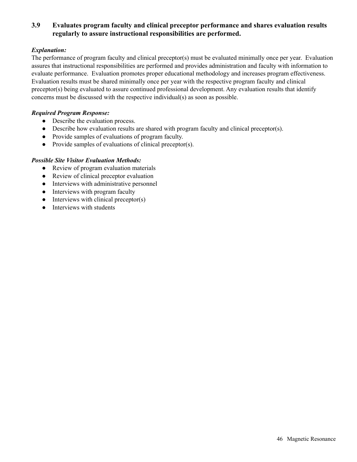# **3.9 Evaluates program faculty and clinical preceptor performance and shares evaluation results regularly to assure instructional responsibilities are performed.**

#### *Explanation:*

The performance of program faculty and clinical preceptor(s) must be evaluated minimally once per year. Evaluation assures that instructional responsibilities are performed and provides administration and faculty with information to evaluate performance. Evaluation promotes proper educational methodology and increases program effectiveness. Evaluation results must be shared minimally once per year with the respective program faculty and clinical preceptor(s) being evaluated to assure continued professional development. Any evaluation results that identify concerns must be discussed with the respective individual(s) as soon as possible.

#### *Required Program Response:*

- Describe the evaluation process.
- Describe how evaluation results are shared with program faculty and clinical preceptor(s).
- Provide samples of evaluations of program faculty.
- Provide samples of evaluations of clinical preceptor(s).

- Review of program evaluation materials
- Review of clinical preceptor evaluation
- Interviews with administrative personnel
- Interviews with program faculty
- $\bullet$  Interviews with clinical preceptor(s)
- Interviews with students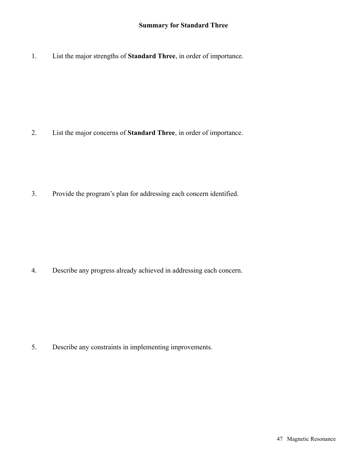1. List the major strengths of **Standard Three**, in order of importance.

2. List the major concerns of **Standard Three**, in order of importance.

3. Provide the program's plan for addressing each concern identified.

4. Describe any progress already achieved in addressing each concern.

5. Describe any constraints in implementing improvements.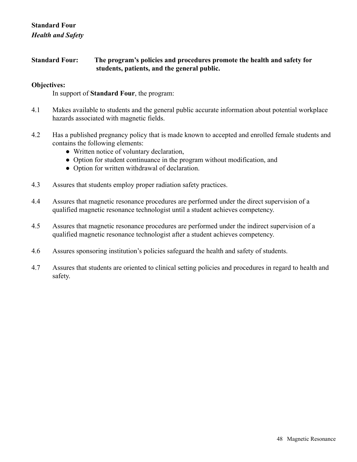# **Standard Four** *Health and Safety*

# **Standard Four: The program's policies and procedures promote the health and safety for students, patients, and the general public.**

## **Objectives:**

In support of **Standard Four**, the program:

- 4.1 Makes available to students and the general public accurate information about potential workplace hazards associated with magnetic fields.
- 4.2 Has a published pregnancy policy that is made known to accepted and enrolled female students and contains the following elements:
	- Written notice of voluntary declaration,
	- Option for student continuance in the program without modification, and
	- Option for written withdrawal of declaration.
- 4.3 Assures that students employ proper radiation safety practices.
- 4.4 Assures that magnetic resonance procedures are performed under the direct supervision of a qualified magnetic resonance technologist until a student achieves competency.
- 4.5 Assures that magnetic resonance procedures are performed under the indirect supervision of a qualified magnetic resonance technologist after a student achieves competency.
- 4.6 Assures sponsoring institution's policies safeguard the health and safety of students.
- 4.7 Assures that students are oriented to clinical setting policies and procedures in regard to health and safety.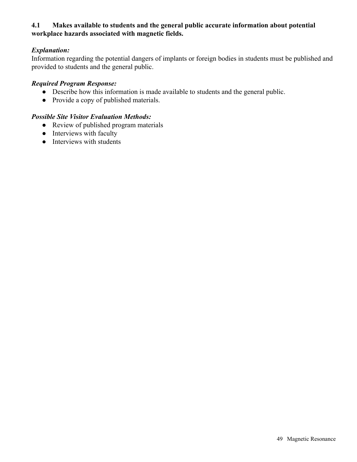# **4.1 Makes available to students and the general public accurate information about potential workplace hazards associated with magnetic fields.**

# *Explanation:*

Information regarding the potential dangers of implants or foreign bodies in students must be published and provided to students and the general public.

### *Required Program Response:*

- Describe how this information is made available to students and the general public.
- Provide a copy of published materials.

- Review of published program materials
- Interviews with faculty
- Interviews with students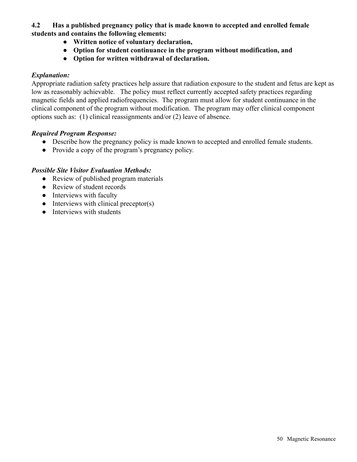**4.2 Has a published pregnancy policy that is made known to accepted and enrolled female students and contains the following elements:**

- **Written notice of voluntary declaration,**
- **Option for student continuance in the program without modification, and**
- **Option for written withdrawal of declaration.**

# *Explanation:*

Appropriate radiation safety practices help assure that radiation exposure to the student and fetus are kept as low as reasonably achievable. The policy must reflect currently accepted safety practices regarding magnetic fields and applied radiofrequencies. The program must allow for student continuance in the clinical component of the program without modification. The program may offer clinical component options such as: (1) clinical reassignments and/or (2) leave of absence.

# *Required Program Response:*

- Describe how the pregnancy policy is made known to accepted and enrolled female students.
- Provide a copy of the program's pregnancy policy.

- Review of published program materials
- Review of student records
- Interviews with faculty
- $\bullet$  Interviews with clinical preceptor(s)
- Interviews with students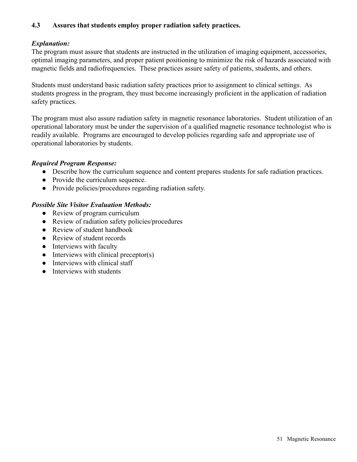# **4.3 Assures that students employ proper radiation safety practices.**

# *Explanation:*

The program must assure that students are instructed in the utilization of imaging equipment, accessories, optimal imaging parameters, and proper patient positioning to minimize the risk of hazards associated with magnetic fields and radiofrequencies. These practices assure safety of patients, students, and others.

Students must understand basic radiation safety practices prior to assignment to clinical settings. As students progress in the program, they must become increasingly proficient in the application of radiation safety practices.

The program must also assure radiation safety in magnetic resonance laboratories. Student utilization of an operational laboratory must be under the supervision of a qualified magnetic resonance technologist who is readily available. Programs are encouraged to develop policies regarding safe and appropriate use of operational laboratories by students.

### *Required Program Response:*

- Describe how the curriculum sequence and content prepares students for safe radiation practices.
- Provide the curriculum sequence.
- Provide policies/procedures regarding radiation safety.

- Review of program curriculum
- Review of radiation safety policies/procedures
- Review of student handbook
- Review of student records
- Interviews with faculty
- $\bullet$  Interviews with clinical preceptor(s)
- Interviews with clinical staff
- **•** Interviews with students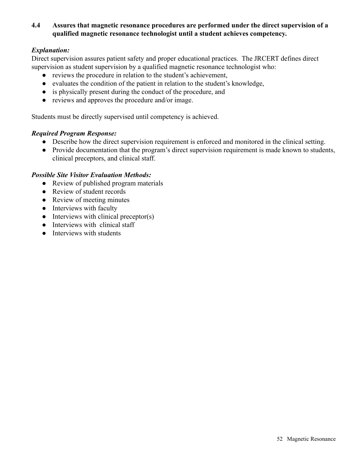# **4.4 Assures that magnetic resonance procedures are performed under the direct supervision of a qualified magnetic resonance technologist until a student achieves competency.**

# *Explanation:*

Direct supervision assures patient safety and proper educational practices. The JRCERT defines direct supervision as student supervision by a qualified magnetic resonance technologist who:

- reviews the procedure in relation to the student's achievement,
- evaluates the condition of the patient in relation to the student's knowledge,
- is physically present during the conduct of the procedure, and
- reviews and approves the procedure and/or image.

Students must be directly supervised until competency is achieved.

# *Required Program Response:*

- Describe how the direct supervision requirement is enforced and monitored in the clinical setting.
- Provide documentation that the program's direct supervision requirement is made known to students, clinical preceptors, and clinical staff.

- Review of published program materials
- Review of student records
- Review of meeting minutes
- Interviews with faculty
- $\bullet$  Interviews with clinical preceptor(s)
- Interviews with clinical staff
- Interviews with students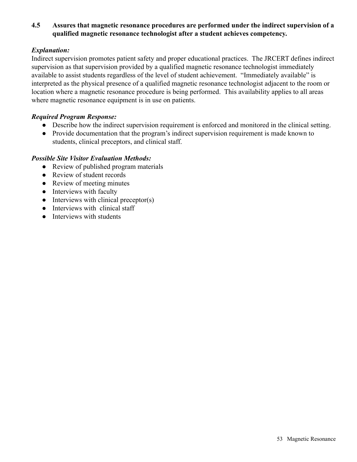# **4.5 Assures that magnetic resonance procedures are performed under the indirect supervision of a qualified magnetic resonance technologist after a student achieves competency.**

# *Explanation:*

Indirect supervision promotes patient safety and proper educational practices. The JRCERT defines indirect supervision as that supervision provided by a qualified magnetic resonance technologist immediately available to assist students regardless of the level of student achievement. "Immediately available" is interpreted as the physical presence of a qualified magnetic resonance technologist adjacent to the room or location where a magnetic resonance procedure is being performed. This availability applies to all areas where magnetic resonance equipment is in use on patients.

#### *Required Program Response:*

- Describe how the indirect supervision requirement is enforced and monitored in the clinical setting.
- Provide documentation that the program's indirect supervision requirement is made known to students, clinical preceptors, and clinical staff.

- Review of published program materials
- Review of student records
- Review of meeting minutes
- Interviews with faculty
- $\bullet$  Interviews with clinical preceptor(s)
- Interviews with clinical staff
- Interviews with students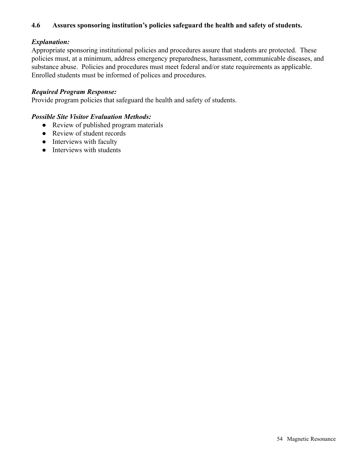# **4.6 Assures sponsoring institution's policies safeguard the health and safety of students.**

# *Explanation:*

Appropriate sponsoring institutional policies and procedures assure that students are protected. These policies must, at a minimum, address emergency preparedness, harassment, communicable diseases, and substance abuse. Policies and procedures must meet federal and/or state requirements as applicable. Enrolled students must be informed of polices and procedures.

## *Required Program Response:*

Provide program policies that safeguard the health and safety of students.

- Review of published program materials
- Review of student records
- Interviews with faculty
- Interviews with students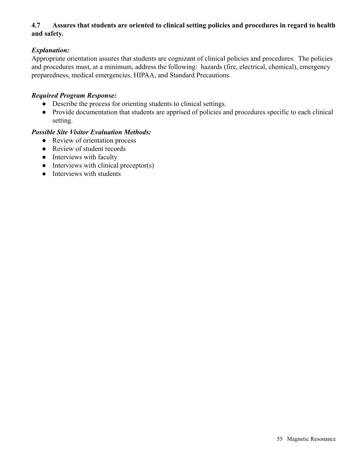# **4.7 Assures that students are oriented to clinical setting policies and procedures in regard to health and safety.**

# *Explanation:*

Appropriate orientation assures that students are cognizant of clinical policies and procedures. The policies and procedures must, at a minimum, address the following: hazards (fire, electrical, chemical), emergency preparedness, medical emergencies, HIPAA, and Standard Precautions.

### *Required Program Response:*

- Describe the process for orienting students to clinical settings.
- Provide documentation that students are apprised of policies and procedures specific to each clinical setting.

- Review of orientation process
- Review of student records
- Interviews with faculty
- $\bullet$  Interviews with clinical preceptor(s)
- Interviews with students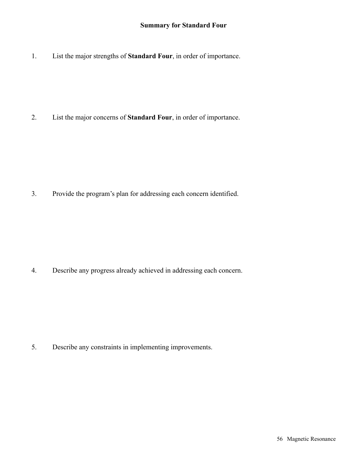# **Summary for Standard Four**

1. List the major strengths of **Standard Four**, in order of importance.

2. List the major concerns of **Standard Four**, in order of importance.

3. Provide the program's plan for addressing each concern identified.

4. Describe any progress already achieved in addressing each concern.

5. Describe any constraints in implementing improvements.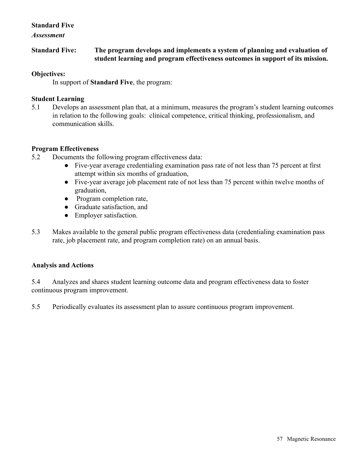# **Standard Five**

*Assessment*

**Standard Five: The program develops and implements a system of planning and evaluation of student learning and program effectiveness outcomes in support of its mission.**

## **Objectives:**

In support of **Standard Five**, the program:

### **Student Learning**

5.1 Develops an assessment plan that, at a minimum, measures the program's student learning outcomes in relation to the following goals: clinical competence, critical thinking, professionalism, and communication skills.

### **Program Effectiveness**

- 5.2 Documents the following program effectiveness data:
	- Five-year average credentialing examination pass rate of not less than 75 percent at first attempt within six months of graduation,
	- Five-year average job placement rate of not less than 75 percent within twelve months of graduation,
	- Program completion rate,
	- Graduate satisfaction, and
	- Employer satisfaction.
- 5.3 Makes available to the general public program effectiveness data (credentialing examination pass rate, job placement rate, and program completion rate) on an annual basis.

# **Analysis and Actions**

5.4 Analyzes and shares student learning outcome data and program effectiveness data to foster continuous program improvement.

5.5 Periodically evaluates its assessment plan to assure continuous program improvement.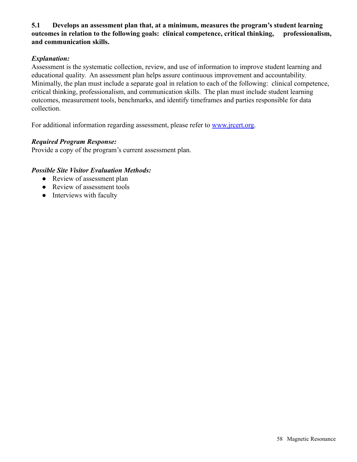# **5.1 Develops an assessment plan that, at a minimum, measures the program's student learning outcomes in relation to the following goals: clinical competence, critical thinking, professionalism, and communication skills.**

# *Explanation:*

Assessment is the systematic collection, review, and use of information to improve student learning and educational quality. An assessment plan helps assure continuous improvement and accountability. Minimally, the plan must include a separate goal in relation to each of the following: clinical competence, critical thinking, professionalism, and communication skills. The plan must include student learning outcomes, measurement tools, benchmarks, and identify timeframes and parties responsible for data collection.

For additional information regarding assessment, please refer to [www.jrcert.org.](http://www.jrcert.org)

# *Required Program Response:*

Provide a copy of the program's current assessment plan.

- Review of assessment plan
- Review of assessment tools
- Interviews with faculty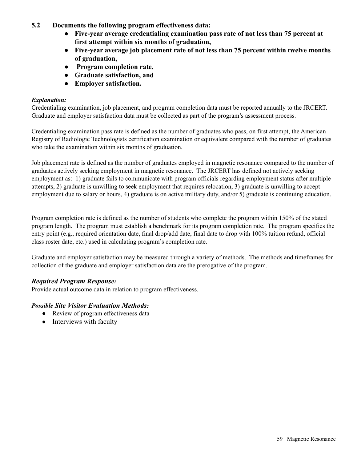- **5.2 Documents the following program effectiveness data:**
	- **Five-year average credentialing examination pass rate of not less than 75 percent at first attempt within six months of graduation,**
	- **Five-year average job placement rate of not less than 75 percent within twelve months of graduation,**
	- **Program completion rate,**
	- **Graduate satisfaction, and**
	- **Employer satisfaction.**

### *Explanation:*

Credentialing examination, job placement, and program completion data must be reported annually to the JRCERT. Graduate and employer satisfaction data must be collected as part of the program's assessment process.

Credentialing examination pass rate is defined as the number of graduates who pass, on first attempt, the American Registry of Radiologic Technologists certification examination or equivalent compared with the number of graduates who take the examination within six months of graduation.

Job placement rate is defined as the number of graduates employed in magnetic resonance compared to the number of graduates actively seeking employment in magnetic resonance. The JRCERT has defined not actively seeking employment as: 1) graduate fails to communicate with program officials regarding employment status after multiple attempts, 2) graduate is unwilling to seek employment that requires relocation, 3) graduate is unwilling to accept employment due to salary or hours, 4) graduate is on active military duty, and/or 5) graduate is continuing education.

Program completion rate is defined as the number of students who complete the program within 150% of the stated program length. The program must establish a benchmark for its program completion rate. The program specifies the entry point (e.g., required orientation date, final drop/add date, final date to drop with 100% tuition refund, official class roster date, etc.) used in calculating program's completion rate.

Graduate and employer satisfaction may be measured through a variety of methods. The methods and timeframes for collection of the graduate and employer satisfaction data are the prerogative of the program.

# *Required Program Response:*

Provide actual outcome data in relation to program effectiveness.

- Review of program effectiveness data
- Interviews with faculty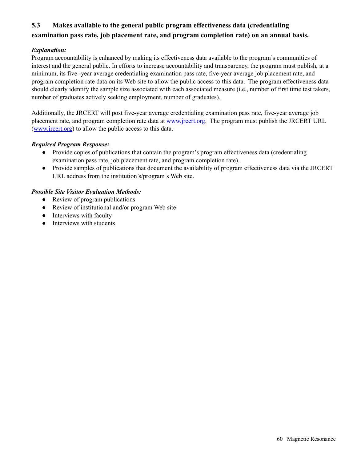# **5.3 Makes available to the general public program effectiveness data (credentialing examination pass rate, job placement rate, and program completion rate) on an annual basis.**

#### *Explanation:*

Program accountability is enhanced by making its effectiveness data available to the program's communities of interest and the general public. In efforts to increase accountability and transparency, the program must publish, at a minimum, its five -year average credentialing examination pass rate, five-year average job placement rate, and program completion rate data on its Web site to allow the public access to this data. The program effectiveness data should clearly identify the sample size associated with each associated measure (i.e., number of first time test takers, number of graduates actively seeking employment, number of graduates).

Additionally, the JRCERT will post five-year average credentialing examination pass rate, five-year average job placement rate, and program completion rate data at [www.jrcert.org.](http://www.jrcert.org) The program must publish the JRCERT URL ([www.jrcert.org\)](http://www.jrcert.org) to allow the public access to this data.

#### *Required Program Response:*

- Provide copies of publications that contain the program's program effectiveness data (credentialing examination pass rate, job placement rate, and program completion rate).
- Provide samples of publications that document the availability of program effectiveness data via the JRCERT URL address from the institution's/program's Web site.

- Review of program publications
- Review of institutional and/or program Web site
- Interviews with faculty
- Interviews with students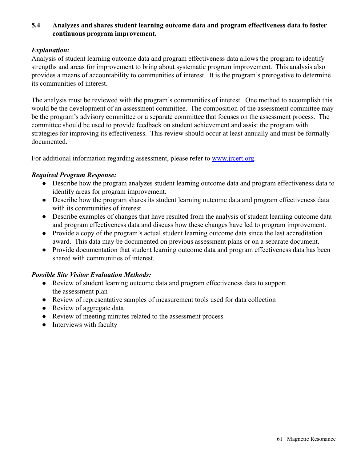# **5.4 Analyzes and shares student learning outcome data and program effectiveness data to foster continuous program improvement.**

# *Explanation:*

Analysis of student learning outcome data and program effectiveness data allows the program to identify strengths and areas for improvement to bring about systematic program improvement. This analysis also provides a means of accountability to communities of interest. It is the program's prerogative to determine its communities of interest.

The analysis must be reviewed with the program's communities of interest. One method to accomplish this would be the development of an assessment committee. The composition of the assessment committee may be the program's advisory committee or a separate committee that focuses on the assessment process. The committee should be used to provide feedback on student achievement and assist the program with strategies for improving its effectiveness. This review should occur at least annually and must be formally documented.

For additional information regarding assessment, please refer to [www.jrcert.org.](http://www.jrcert.org)

### *Required Program Response:*

- Describe how the program analyzes student learning outcome data and program effectiveness data to identify areas for program improvement.
- Describe how the program shares its student learning outcome data and program effectiveness data with its communities of interest.
- Describe examples of changes that have resulted from the analysis of student learning outcome data and program effectiveness data and discuss how these changes have led to program improvement.
- Provide a copy of the program's actual student learning outcome data since the last accreditation award. This data may be documented on previous assessment plans or on a separate document.
- Provide documentation that student learning outcome data and program effectiveness data has been shared with communities of interest.

- Review of student learning outcome data and program effectiveness data to support the assessment plan
- Review of representative samples of measurement tools used for data collection
- Review of aggregate data
- Review of meeting minutes related to the assessment process
- Interviews with faculty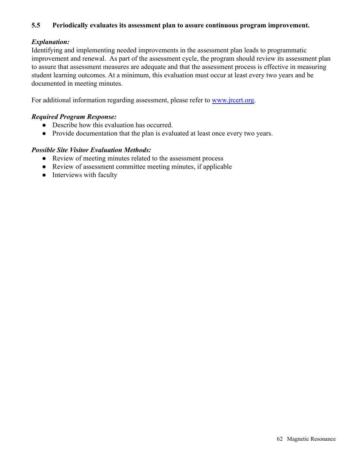## **5.5 Periodically evaluates its assessment plan to assure continuous program improvement.**

# *Explanation:*

Identifying and implementing needed improvements in the assessment plan leads to programmatic improvement and renewal. As part of the assessment cycle, the program should review its assessment plan to assure that assessment measures are adequate and that the assessment process is effective in measuring student learning outcomes. At a minimum, this evaluation must occur at least every two years and be documented in meeting minutes.

For additional information regarding assessment, please refer to [www.jrcert.org.](http://www.jrcert.org)

#### *Required Program Response:*

- Describe how this evaluation has occurred.
- Provide documentation that the plan is evaluated at least once every two years.

- Review of meeting minutes related to the assessment process
- Review of assessment committee meeting minutes, if applicable
- Interviews with faculty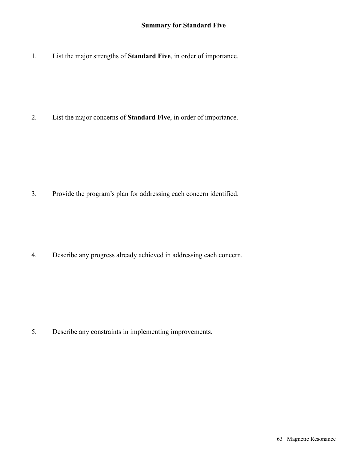1. List the major strengths of **Standard Five**, in order of importance.

2. List the major concerns of **Standard Five**, in order of importance.

3. Provide the program's plan for addressing each concern identified.

4. Describe any progress already achieved in addressing each concern.

5. Describe any constraints in implementing improvements.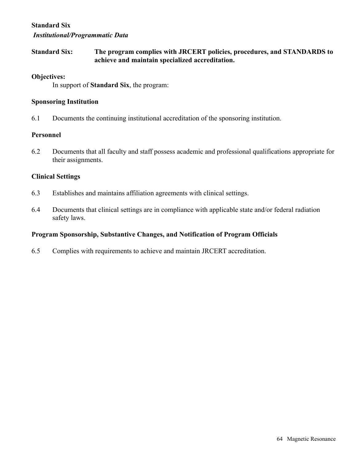# **Standard Six** *Institutional/Programmatic Data*

**Standard Six: The program complies with JRCERT policies, procedures, and STANDARDS to achieve and maintain specialized accreditation.**

### **Objectives:**

In support of **Standard Six**, the program:

### **Sponsoring Institution**

6.1 Documents the continuing institutional accreditation of the sponsoring institution.

### **Personnel**

6.2 Documents that all faculty and staff possess academic and professional qualifications appropriate for their assignments.

# **Clinical Settings**

- 6.3 Establishes and maintains affiliation agreements with clinical settings.
- 6.4 Documents that clinical settings are in compliance with applicable state and/or federal radiation safety laws.

# **Program Sponsorship, Substantive Changes, and Notification of Program Officials**

6.5 Complies with requirements to achieve and maintain JRCERT accreditation.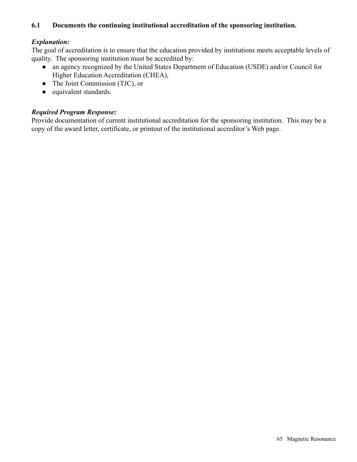# **6.1 Documents the continuing institutional accreditation of the sponsoring institution.**

# *Explanation:*

The goal of accreditation is to ensure that the education provided by institutions meets acceptable levels of quality. The sponsoring institution must be accredited by:

- an agency recognized by the United States Department of Education (USDE) and/or Council for Higher Education Accreditation (CHEA),
- The Joint Commission (TJC), or
- equivalent standards.

### *Required Program Response:*

Provide documentation of current institutional accreditation for the sponsoring institution. This may be a copy of the award letter, certificate, or printout of the institutional accreditor's Web page.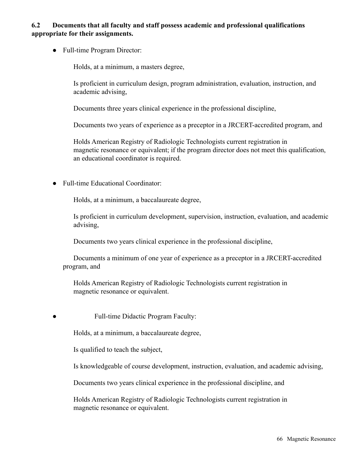# **6.2 Documents that all faculty and staff possess academic and professional qualifications appropriate for their assignments.**

● Full-time Program Director:

Holds, at a minimum, a masters degree,

Is proficient in curriculum design, program administration, evaluation, instruction, and academic advising,

Documents three years clinical experience in the professional discipline,

Documents two years of experience as a preceptor in a JRCERT-accredited program, and

Holds American Registry of Radiologic Technologists current registration in magnetic resonance or equivalent; if the program director does not meet this qualification, an educational coordinator is required.

● Full-time Educational Coordinator:

Holds, at a minimum, a baccalaureate degree,

Is proficient in curriculum development, supervision, instruction, evaluation, and academic advising,

Documents two years clinical experience in the professional discipline,

Documents a minimum of one year of experience as a preceptor in a JRCERT-accredited program, and

Holds American Registry of Radiologic Technologists current registration in magnetic resonance or equivalent.

Full-time Didactic Program Faculty:

Holds, at a minimum, a baccalaureate degree,

Is qualified to teach the subject,

Is knowledgeable of course development, instruction, evaluation, and academic advising,

Documents two years clinical experience in the professional discipline, and

Holds American Registry of Radiologic Technologists current registration in magnetic resonance or equivalent.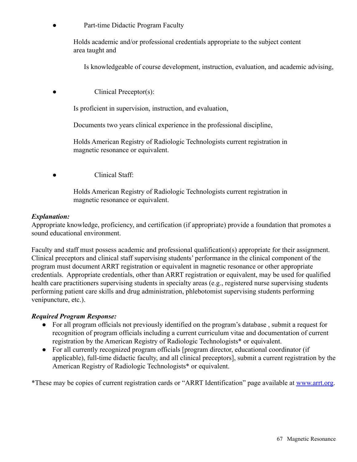Part-time Didactic Program Faculty

Holds academic and/or professional credentials appropriate to the subject content area taught and

Is knowledgeable of course development, instruction, evaluation, and academic advising,

Clinical Preceptor(s):

Is proficient in supervision, instruction, and evaluation,

Documents two years clinical experience in the professional discipline,

Holds American Registry of Radiologic Technologists current registration in magnetic resonance or equivalent.

Clinical Staff:

Holds American Registry of Radiologic Technologists current registration in magnetic resonance or equivalent.

#### *Explanation:*

Appropriate knowledge, proficiency, and certification (if appropriate) provide a foundation that promotes a sound educational environment.

Faculty and staff must possess academic and professional qualification(s) appropriate for their assignment. Clinical preceptors and clinical staff supervising students' performance in the clinical component of the program must document ARRT registration or equivalent in magnetic resonance or other appropriate credentials. Appropriate credentials, other than ARRT registration or equivalent, may be used for qualified health care practitioners supervising students in specialty areas (e.g., registered nurse supervising students performing patient care skills and drug administration, phlebotomist supervising students performing venipuncture, etc.).

#### *Required Program Response:*

- For all program officials not previously identified on the program's database , submit a request for recognition of program officials including a current curriculum vitae and documentation of current registration by the American Registry of Radiologic Technologists\* or equivalent.
- For all currently recognized program officials [program director, educational coordinator (if applicable), full-time didactic faculty, and all clinical preceptors], submit a current registration by the American Registry of Radiologic Technologists\* or equivalent.

\*These may be copies of current registration cards or "ARRT Identification" page available at [www.arrt.org](http://www.arrt.org).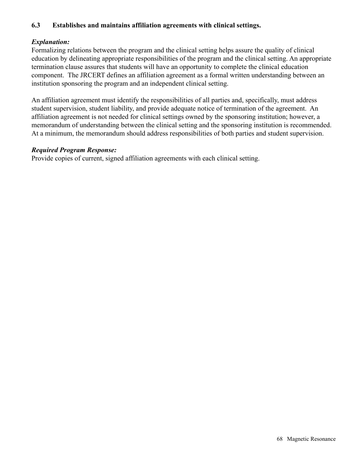# **6.3 Establishes and maintains affiliation agreements with clinical settings.**

# *Explanation:*

Formalizing relations between the program and the clinical setting helps assure the quality of clinical education by delineating appropriate responsibilities of the program and the clinical setting. An appropriate termination clause assures that students will have an opportunity to complete the clinical education component. The JRCERT defines an affiliation agreement as a formal written understanding between an institution sponsoring the program and an independent clinical setting.

An affiliation agreement must identify the responsibilities of all parties and, specifically, must address student supervision, student liability, and provide adequate notice of termination of the agreement. An affiliation agreement is not needed for clinical settings owned by the sponsoring institution; however, a memorandum of understanding between the clinical setting and the sponsoring institution is recommended. At a minimum, the memorandum should address responsibilities of both parties and student supervision.

### *Required Program Response:*

Provide copies of current, signed affiliation agreements with each clinical setting.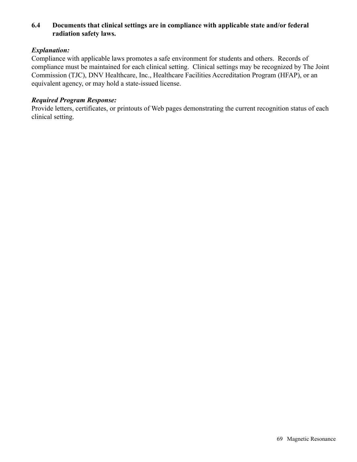# **6.4 Documents that clinical settings are in compliance with applicable state and/or federal radiation safety laws.**

# *Explanation:*

Compliance with applicable laws promotes a safe environment for students and others. Records of compliance must be maintained for each clinical setting. Clinical settings may be recognized by The Joint Commission (TJC), DNV Healthcare, Inc., Healthcare Facilities Accreditation Program (HFAP), or an equivalent agency, or may hold a state-issued license.

#### *Required Program Response:*

Provide letters, certificates, or printouts of Web pages demonstrating the current recognition status of each clinical setting.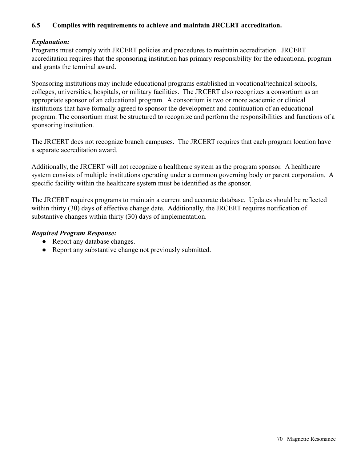# **6.5 Complies with requirements to achieve and maintain JRCERT accreditation.**

# *Explanation:*

Programs must comply with JRCERT policies and procedures to maintain accreditation. JRCERT accreditation requires that the sponsoring institution has primary responsibility for the educational program and grants the terminal award.

Sponsoring institutions may include educational programs established in vocational/technical schools, colleges, universities, hospitals, or military facilities. The JRCERT also recognizes a consortium as an appropriate sponsor of an educational program. A consortium is two or more academic or clinical institutions that have formally agreed to sponsor the development and continuation of an educational program. The consortium must be structured to recognize and perform the responsibilities and functions of a sponsoring institution.

The JRCERT does not recognize branch campuses. The JRCERT requires that each program location have a separate accreditation award.

Additionally, the JRCERT will not recognize a healthcare system as the program sponsor. A healthcare system consists of multiple institutions operating under a common governing body or parent corporation. A specific facility within the healthcare system must be identified as the sponsor.

The JRCERT requires programs to maintain a current and accurate database. Updates should be reflected within thirty (30) days of effective change date. Additionally, the JRCERT requires notification of substantive changes within thirty (30) days of implementation.

# *Required Program Response:*

- Report any database changes.
- Report any substantive change not previously submitted.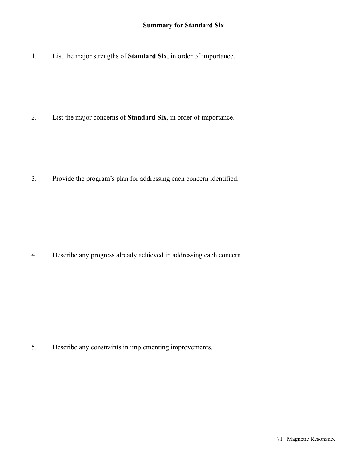1. List the major strengths of **Standard Six**, in order of importance.

2. List the major concerns of **Standard Six**, in order of importance.

3. Provide the program's plan for addressing each concern identified.

4. Describe any progress already achieved in addressing each concern.

5. Describe any constraints in implementing improvements.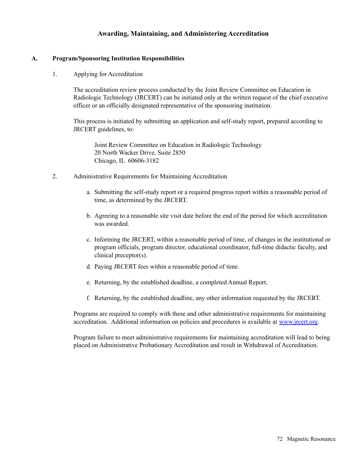### **Awarding, Maintaining, and Administering Accreditation**

#### **A. Program/Sponsoring Institution Responsibilities**

1. Applying for Accreditation

The accreditation review process conducted by the Joint Review Committee on Education in Radiologic Technology (JRCERT) can be initiated only at the written request of the chief executive officer or an officially designated representative of the sponsoring institution.

This process is initiated by submitting an application and self-study report, prepared according to JRCERT guidelines, to:

Joint Review Committee on Education in Radiologic Technology 20 North Wacker Drive, Suite 2850 Chicago, IL 60606-3182

- 2. Administrative Requirements for Maintaining Accreditation
	- a. Submitting the self-study report or a required progress report within a reasonable period of time, as determined by the JRCERT.
	- b. Agreeing to a reasonable site visit date before the end of the period for which accreditation was awarded.
	- c. Informing the JRCERT, within a reasonable period of time, of changes in the institutional or program officials, program director, educational coordinator, full-time didactic faculty, and clinical preceptor(s).
	- d. Paying JRCERT fees within a reasonable period of time.
	- e. Returning, by the established deadline, a completed Annual Report.
	- f. Returning, by the established deadline, any other information requested by the JRCERT.

Programs are required to comply with these and other administrative requirements for maintaining accreditation. Additional information on policies and procedures is available at [www.jrcert.org](http://www.jrcert.org).

Program failure to meet administrative requirements for maintaining accreditation will lead to being placed on Administrative Probationary Accreditation and result in Withdrawal of Accreditation.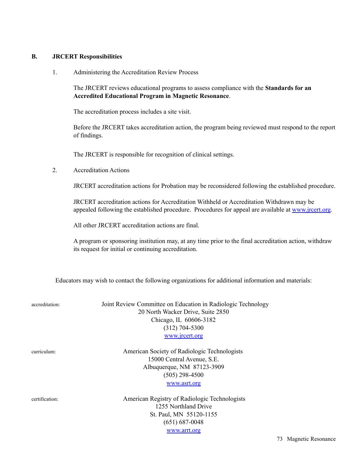## **B. JRCERT Responsibilities**

1. Administering the Accreditation Review Process

The JRCERT reviews educational programs to assess compliance with the **Standards for an Accredited Educational Program in Magnetic Resonance**.

The accreditation process includes a site visit.

Before the JRCERT takes accreditation action, the program being reviewed must respond to the report of findings.

The JRCERT is responsible for recognition of clinical settings.

2. Accreditation Actions

JRCERT accreditation actions for Probation may be reconsidered following the established procedure.

JRCERT accreditation actions for Accreditation Withheld or Accreditation Withdrawn may be appealed following the established procedure. Procedures for appeal are available at [www.jrcert.org](http://www.jrcert.org).

All other JRCERT accreditation actions are final.

A program or sponsoring institution may, at any time prior to the final accreditation action, withdraw its request for initial or continuing accreditation.

Educators may wish to contact the following organizations for additional information and materials:

(651) 687-0048 [www.arrt.org](http://www.arrt.org)

| accreditation: | Joint Review Committee on Education in Radiologic Technology<br>20 North Wacker Drive, Suite 2850<br>Chicago, IL 60606-3182<br>$(312)$ 704-5300<br>www.jrcert.org |
|----------------|-------------------------------------------------------------------------------------------------------------------------------------------------------------------|
|                |                                                                                                                                                                   |
| curriculum:    | American Society of Radiologic Technologists                                                                                                                      |
|                | 15000 Central Avenue, S.E.                                                                                                                                        |
|                | Albuquerque, NM 87123-3909                                                                                                                                        |
|                | $(505)$ 298-4500                                                                                                                                                  |
|                | www.asrt.org                                                                                                                                                      |
| certification: | American Registry of Radiologic Technologists                                                                                                                     |
|                | 1255 Northland Drive                                                                                                                                              |
|                | St. Paul, MN 55120-1155                                                                                                                                           |